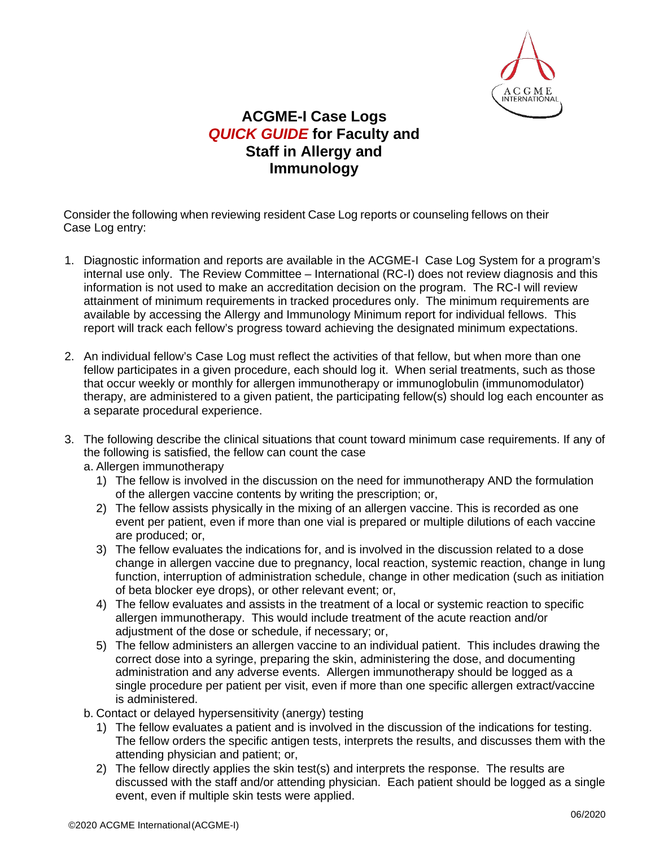

## **ACGME-I Case Logs** *QUICK GUIDE* **for Faculty and Staff in Allergy and Immunology**

Consider the following when reviewing resident Case Log reports or counseling fellows on their Case Log entry:

- 1. Diagnostic information and reports are available in the ACGME-I Case Log System for a program's internal use only. The Review Committee – International (RC-I) does not review diagnosis and this information is not used to make an accreditation decision on the program. The RC-I will review attainment of minimum requirements in tracked procedures only. The minimum requirements are available by accessing the Allergy and Immunology Minimum report for individual fellows. This report will track each fellow's progress toward achieving the designated minimum expectations.
- 2. An individual fellow's Case Log must reflect the activities of that fellow, but when more than one fellow participates in a given procedure, each should log it. When serial treatments, such as those that occur weekly or monthly for allergen immunotherapy or immunoglobulin (immunomodulator) therapy, are administered to a given patient, the participating fellow(s) should log each encounter as a separate procedural experience.
- 3. The following describe the clinical situations that count toward minimum case requirements. If any of the following is satisfied, the fellow can count the case
	- a. Allergen immunotherapy
		- 1) The fellow is involved in the discussion on the need for immunotherapy AND the formulation of the allergen vaccine contents by writing the prescription; or,
		- 2) The fellow assists physically in the mixing of an allergen vaccine. This is recorded as one event per patient, even if more than one vial is prepared or multiple dilutions of each vaccine are produced; or,
		- 3) The fellow evaluates the indications for, and is involved in the discussion related to a dose change in allergen vaccine due to pregnancy, local reaction, systemic reaction, change in lung function, interruption of administration schedule, change in other medication (such as initiation of beta blocker eye drops), or other relevant event; or,
		- 4) The fellow evaluates and assists in the treatment of a local or systemic reaction to specific allergen immunotherapy. This would include treatment of the acute reaction and/or adjustment of the dose or schedule, if necessary; or,
		- 5) The fellow administers an allergen vaccine to an individual patient. This includes drawing the correct dose into a syringe, preparing the skin, administering the dose, and documenting administration and any adverse events. Allergen immunotherapy should be logged as a single procedure per patient per visit, even if more than one specific allergen extract/vaccine is administered.
	- b. Contact or delayed hypersensitivity (anergy) testing
		- 1) The fellow evaluates a patient and is involved in the discussion of the indications for testing. The fellow orders the specific antigen tests, interprets the results, and discusses them with the attending physician and patient; or,
		- 2) The fellow directly applies the skin test(s) and interprets the response. The results are discussed with the staff and/or attending physician. Each patient should be logged as a single event, even if multiple skin tests were applied.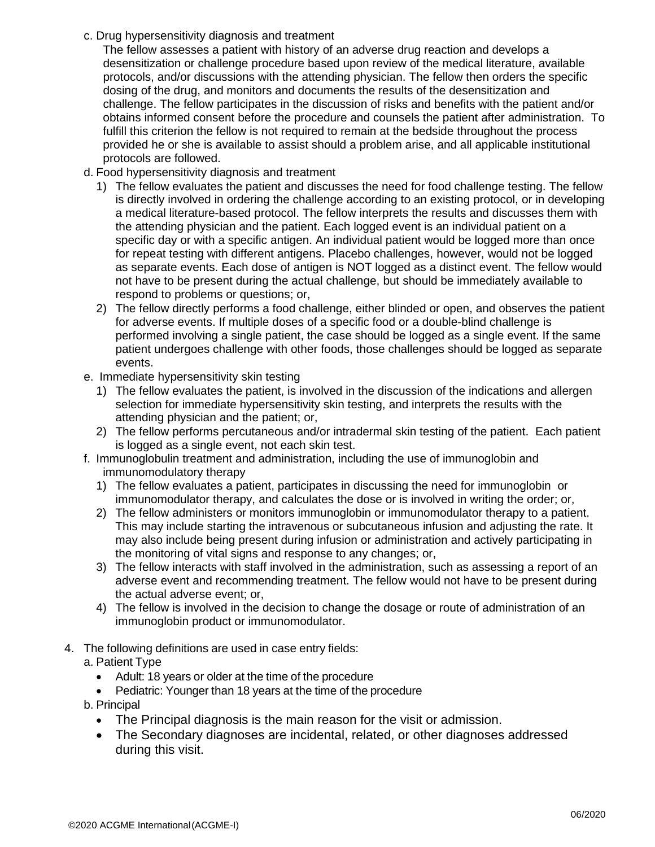c. Drug hypersensitivity diagnosis and treatment

The fellow assesses a patient with history of an adverse drug reaction and develops a desensitization or challenge procedure based upon review of the medical literature, available protocols, and/or discussions with the attending physician. The fellow then orders the specific dosing of the drug, and monitors and documents the results of the desensitization and challenge. The fellow participates in the discussion of risks and benefits with the patient and/or obtains informed consent before the procedure and counsels the patient after administration. To fulfill this criterion the fellow is not required to remain at the bedside throughout the process provided he or she is available to assist should a problem arise, and all applicable institutional protocols are followed.

- d. Food hypersensitivity diagnosis and treatment
	- 1) The fellow evaluates the patient and discusses the need for food challenge testing. The fellow is directly involved in ordering the challenge according to an existing protocol, or in developing a medical literature-based protocol. The fellow interprets the results and discusses them with the attending physician and the patient. Each logged event is an individual patient on a specific day or with a specific antigen. An individual patient would be logged more than once for repeat testing with different antigens. Placebo challenges, however, would not be logged as separate events. Each dose of antigen is NOT logged as a distinct event. The fellow would not have to be present during the actual challenge, but should be immediately available to respond to problems or questions; or,
	- 2) The fellow directly performs a food challenge, either blinded or open, and observes the patient for adverse events. If multiple doses of a specific food or a double-blind challenge is performed involving a single patient, the case should be logged as a single event. If the same patient undergoes challenge with other foods, those challenges should be logged as separate events.
- e. Immediate hypersensitivity skin testing
	- 1) The fellow evaluates the patient, is involved in the discussion of the indications and allergen selection for immediate hypersensitivity skin testing, and interprets the results with the attending physician and the patient; or,
	- 2) The fellow performs percutaneous and/or intradermal skin testing of the patient. Each patient is logged as a single event, not each skin test.
- f. Immunoglobulin treatment and administration, including the use of immunoglobin and immunomodulatory therapy
	- 1) The fellow evaluates a patient, participates in discussing the need for immunoglobin or immunomodulator therapy, and calculates the dose or is involved in writing the order; or,
	- 2) The fellow administers or monitors immunoglobin or immunomodulator therapy to a patient. This may include starting the intravenous or subcutaneous infusion and adjusting the rate. It may also include being present during infusion or administration and actively participating in the monitoring of vital signs and response to any changes; or,
	- 3) The fellow interacts with staff involved in the administration, such as assessing a report of an adverse event and recommending treatment. The fellow would not have to be present during the actual adverse event; or,
	- 4) The fellow is involved in the decision to change the dosage or route of administration of an immunoglobin product or immunomodulator.
- 4. The following definitions are used in case entry fields:
	- a. Patient Type
		- Adult: 18 years or older at the time of the procedure
		- Pediatric: Younger than 18 years at the time of the procedure
		- b. Principal
			- The Principal diagnosis is the main reason for the visit or admission.
			- The Secondary diagnoses are incidental, related, or other diagnoses addressed during this visit.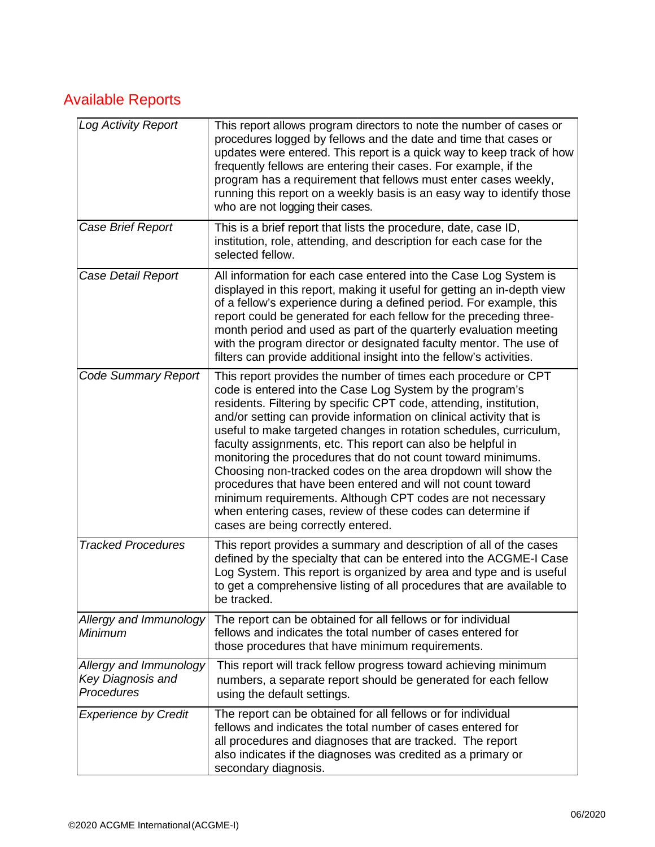## Available Reports

| Log Activity Report                                       | This report allows program directors to note the number of cases or<br>procedures logged by fellows and the date and time that cases or<br>updates were entered. This report is a quick way to keep track of how<br>frequently fellows are entering their cases. For example, if the<br>program has a requirement that fellows must enter cases weekly,<br>running this report on a weekly basis is an easy way to identify those<br>who are not logging their cases.                                                                                                                                                                                                                                                                                                             |
|-----------------------------------------------------------|-----------------------------------------------------------------------------------------------------------------------------------------------------------------------------------------------------------------------------------------------------------------------------------------------------------------------------------------------------------------------------------------------------------------------------------------------------------------------------------------------------------------------------------------------------------------------------------------------------------------------------------------------------------------------------------------------------------------------------------------------------------------------------------|
| Case Brief Report                                         | This is a brief report that lists the procedure, date, case ID,<br>institution, role, attending, and description for each case for the<br>selected fellow.                                                                                                                                                                                                                                                                                                                                                                                                                                                                                                                                                                                                                        |
| Case Detail Report                                        | All information for each case entered into the Case Log System is<br>displayed in this report, making it useful for getting an in-depth view<br>of a fellow's experience during a defined period. For example, this<br>report could be generated for each fellow for the preceding three-<br>month period and used as part of the quarterly evaluation meeting<br>with the program director or designated faculty mentor. The use of<br>filters can provide additional insight into the fellow's activities.                                                                                                                                                                                                                                                                      |
| <b>Code Summary Report</b>                                | This report provides the number of times each procedure or CPT<br>code is entered into the Case Log System by the program's<br>residents. Filtering by specific CPT code, attending, institution,<br>and/or setting can provide information on clinical activity that is<br>useful to make targeted changes in rotation schedules, curriculum,<br>faculty assignments, etc. This report can also be helpful in<br>monitoring the procedures that do not count toward minimums.<br>Choosing non-tracked codes on the area dropdown will show the<br>procedures that have been entered and will not count toward<br>minimum requirements. Although CPT codes are not necessary<br>when entering cases, review of these codes can determine if<br>cases are being correctly entered. |
| <b>Tracked Procedures</b>                                 | This report provides a summary and description of all of the cases<br>defined by the specialty that can be entered into the ACGME-I Case<br>Log System. This report is organized by area and type and is useful<br>to get a comprehensive listing of all procedures that are available to<br>be tracked.                                                                                                                                                                                                                                                                                                                                                                                                                                                                          |
| Allergy and Immunology<br>Minimum                         | The report can be obtained for all fellows or for individual<br>fellows and indicates the total number of cases entered for<br>those procedures that have minimum requirements.                                                                                                                                                                                                                                                                                                                                                                                                                                                                                                                                                                                                   |
| Allergy and Immunology<br>Key Diagnosis and<br>Procedures | This report will track fellow progress toward achieving minimum<br>numbers, a separate report should be generated for each fellow<br>using the default settings.                                                                                                                                                                                                                                                                                                                                                                                                                                                                                                                                                                                                                  |
| <b>Experience by Credit</b>                               | The report can be obtained for all fellows or for individual<br>fellows and indicates the total number of cases entered for<br>all procedures and diagnoses that are tracked. The report<br>also indicates if the diagnoses was credited as a primary or<br>secondary diagnosis.                                                                                                                                                                                                                                                                                                                                                                                                                                                                                                  |